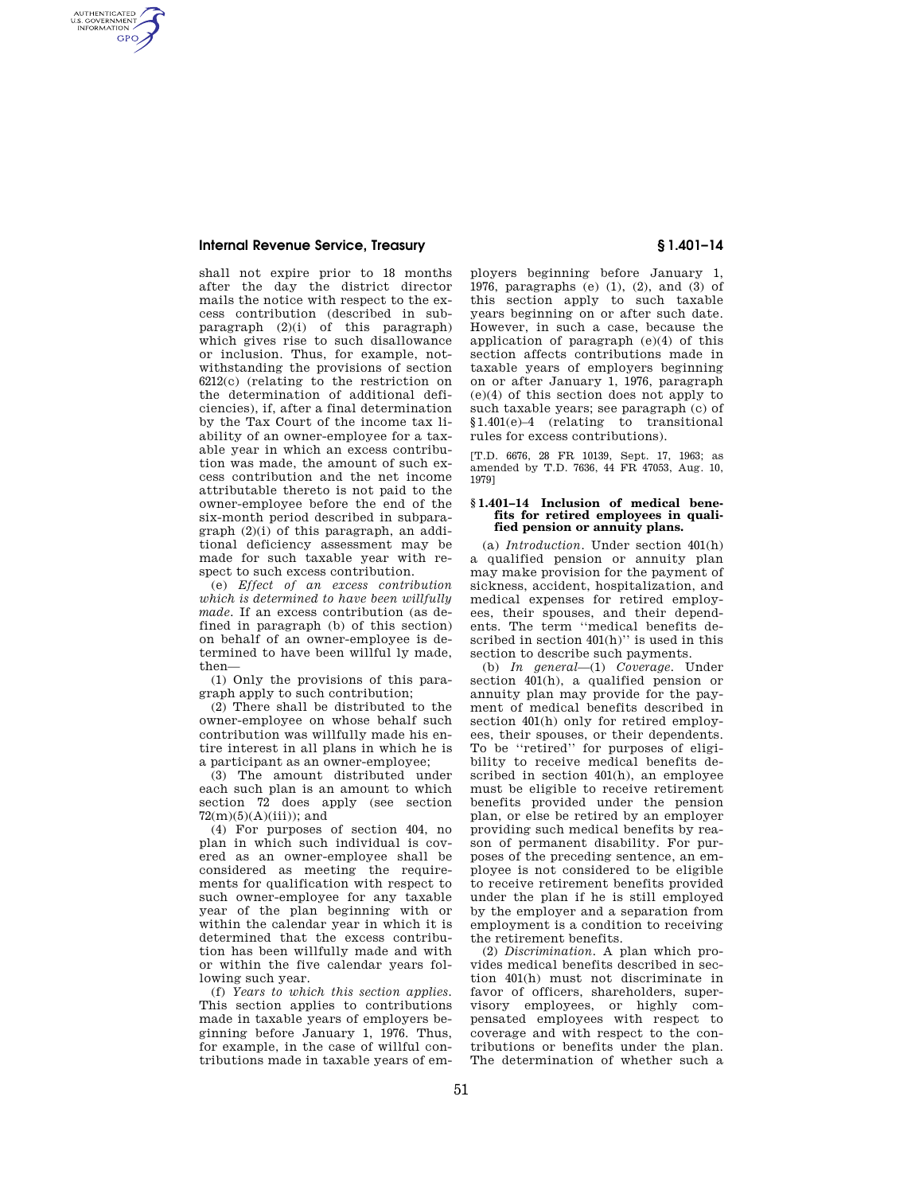### **Internal Revenue Service, Treasury § 1.401–14**

AUTHENTICATED<br>U.S. GOVERNMENT<br>INFORMATION **GPO** 

> shall not expire prior to 18 months after the day the district director mails the notice with respect to the excess contribution (described in subparagraph (2)(i) of this paragraph) which gives rise to such disallowance or inclusion. Thus, for example, notwithstanding the provisions of section 6212(c) (relating to the restriction on the determination of additional deficiencies), if, after a final determination by the Tax Court of the income tax liability of an owner-employee for a taxable year in which an excess contribution was made, the amount of such excess contribution and the net income attributable thereto is not paid to the owner-employee before the end of the six-month period described in subparagraph (2)(i) of this paragraph, an additional deficiency assessment may be made for such taxable year with respect to such excess contribution.

> (e) *Effect of an excess contribution which is determined to have been willfully made.* If an excess contribution (as defined in paragraph (b) of this section) on behalf of an owner-employee is determined to have been willful ly made, then—

> (1) Only the provisions of this paragraph apply to such contribution;

(2) There shall be distributed to the owner-employee on whose behalf such contribution was willfully made his entire interest in all plans in which he is a participant as an owner-employee;

(3) The amount distributed under each such plan is an amount to which section 72 does apply (see section  $72(m)(5)(A)(iii)$ ; and

(4) For purposes of section 404, no plan in which such individual is covered as an owner-employee shall be considered as meeting the requirements for qualification with respect to such owner-employee for any taxable year of the plan beginning with or within the calendar year in which it is determined that the excess contribution has been willfully made and with or within the five calendar years following such year.

(f) *Years to which this section applies.*  This section applies to contributions made in taxable years of employers beginning before January 1, 1976. Thus, for example, in the case of willful contributions made in taxable years of em-

ployers beginning before January 1, 1976, paragraphs (e) (1), (2), and (3) of this section apply to such taxable years beginning on or after such date. However, in such a case, because the application of paragraph (e)(4) of this section affects contributions made in taxable years of employers beginning on or after January 1, 1976, paragraph (e)(4) of this section does not apply to such taxable years; see paragraph (c) of §1.401(e)–4 (relating to transitional rules for excess contributions).

[T.D. 6676, 28 FR 10139, Sept. 17, 1963; as amended by T.D. 7636, 44 FR 47053, Aug. 10, 1979]

#### **§ 1.401–14 Inclusion of medical benefits for retired employees in qualified pension or annuity plans.**

(a) *Introduction.* Under section 401(h) a qualified pension or annuity plan may make provision for the payment of sickness, accident, hospitalization, and medical expenses for retired employees, their spouses, and their dependents. The term ''medical benefits described in section  $401(h)$ " is used in this section to describe such payments.

(b) *In general*—(1) *Coverage.* Under section 401(h), a qualified pension or annuity plan may provide for the payment of medical benefits described in section 401(h) only for retired employees, their spouses, or their dependents. To be ''retired'' for purposes of eligibility to receive medical benefits described in section 401(h), an employee must be eligible to receive retirement benefits provided under the pension plan, or else be retired by an employer providing such medical benefits by reason of permanent disability. For purposes of the preceding sentence, an employee is not considered to be eligible to receive retirement benefits provided under the plan if he is still employed by the employer and a separation from employment is a condition to receiving the retirement benefits.

(2) *Discrimination.* A plan which provides medical benefits described in section 401(h) must not discriminate in favor of officers, shareholders, supervisory employees, or highly compensated employees with respect to coverage and with respect to the contributions or benefits under the plan. The determination of whether such a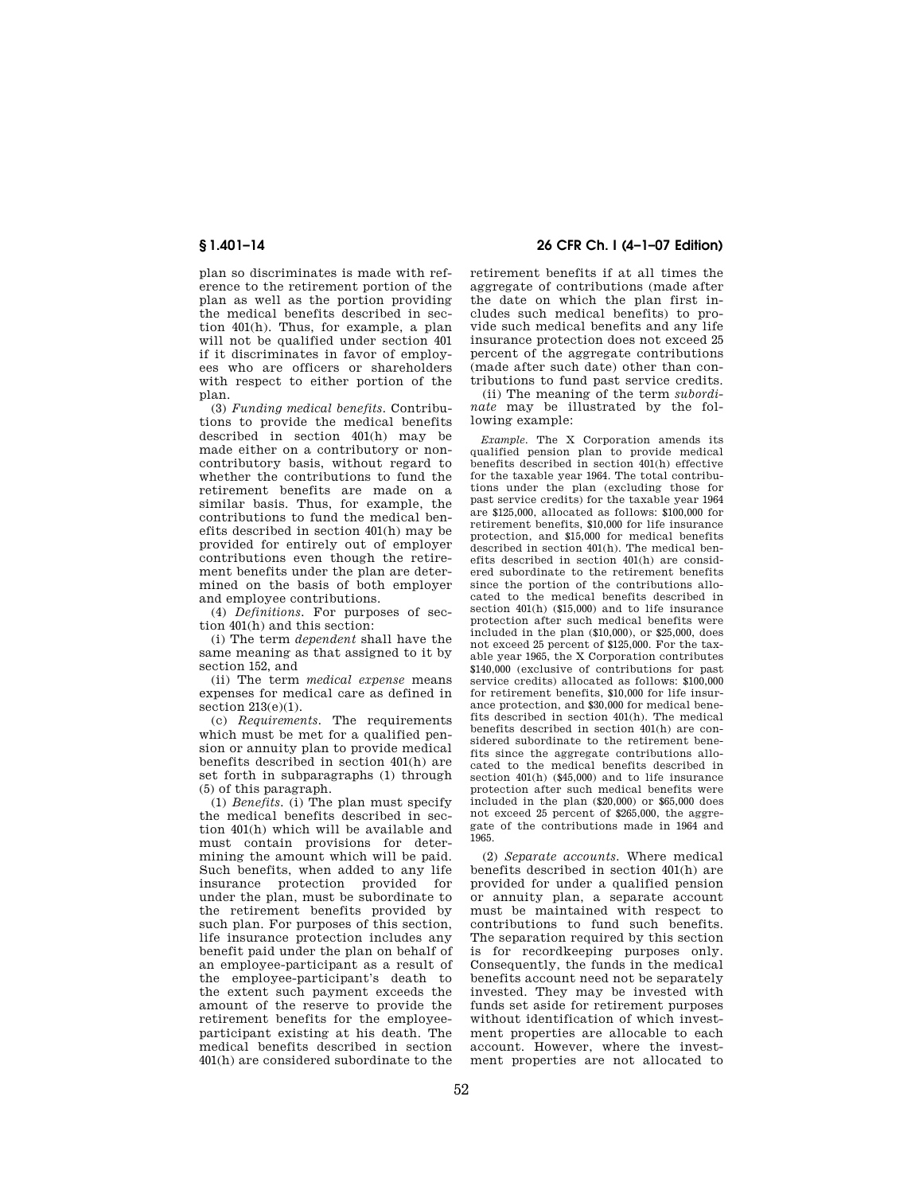plan so discriminates is made with reference to the retirement portion of the plan as well as the portion providing the medical benefits described in section 401(h). Thus, for example, a plan will not be qualified under section 401 if it discriminates in favor of employees who are officers or shareholders with respect to either portion of the plan.

(3) *Funding medical benefits.* Contributions to provide the medical benefits described in section 401(h) may be made either on a contributory or noncontributory basis, without regard to whether the contributions to fund the retirement benefits are made on a similar basis. Thus, for example, the contributions to fund the medical benefits described in section 401(h) may be provided for entirely out of employer contributions even though the retirement benefits under the plan are determined on the basis of both employer and employee contributions.

(4) *Definitions.* For purposes of section 401(h) and this section:

(i) The term *dependent* shall have the same meaning as that assigned to it by section 152, and

(ii) The term *medical expense* means expenses for medical care as defined in section 213(e)(1).

(c) *Requirements.* The requirements which must be met for a qualified pension or annuity plan to provide medical benefits described in section 401(h) are set forth in subparagraphs (1) through (5) of this paragraph.

(1) *Benefits.* (i) The plan must specify the medical benefits described in section 401(h) which will be available and must contain provisions for determining the amount which will be paid. Such benefits, when added to any life insurance protection provided for under the plan, must be subordinate to the retirement benefits provided by such plan. For purposes of this section, life insurance protection includes any benefit paid under the plan on behalf of an employee-participant as a result of the employee-participant's death to the extent such payment exceeds the amount of the reserve to provide the retirement benefits for the employeeparticipant existing at his death. The medical benefits described in section 401(h) are considered subordinate to the

# **§ 1.401–14 26 CFR Ch. I (4–1–07 Edition)**

retirement benefits if at all times the aggregate of contributions (made after the date on which the plan first includes such medical benefits) to provide such medical benefits and any life insurance protection does not exceed 25 percent of the aggregate contributions (made after such date) other than contributions to fund past service credits.

(ii) The meaning of the term *subordinate* may be illustrated by the following example:

*Example.* The X Corporation amends its qualified pension plan to provide medical benefits described in section 401(h) effective for the taxable year 1964. The total contributions under the plan (excluding those for past service credits) for the taxable year 1964 are \$125,000, allocated as follows: \$100,000 for retirement benefits, \$10,000 for life insurance protection, and \$15,000 for medical benefits described in section 401(h). The medical benefits described in section 401(h) are considered subordinate to the retirement benefits since the portion of the contributions allocated to the medical benefits described in section 401(h) (\$15,000) and to life insurance protection after such medical benefits were included in the plan (\$10,000), or \$25,000, does not exceed 25 percent of \$125,000. For the taxable year 1965, the X Corporation contributes \$140,000 (exclusive of contributions for past service credits) allocated as follows: \$100,000 for retirement benefits, \$10,000 for life insurance protection, and \$30,000 for medical benefits described in section 401(h). The medical benefits described in section 401(h) are considered subordinate to the retirement benefits since the aggregate contributions allocated to the medical benefits described in section 401(h) (\$45,000) and to life insurance protection after such medical benefits were included in the plan (\$20,000) or \$65,000 does not exceed 25 percent of \$265,000, the aggregate of the contributions made in 1964 and 1965.

(2) *Separate accounts.* Where medical benefits described in section 401(h) are provided for under a qualified pension or annuity plan, a separate account must be maintained with respect to contributions to fund such benefits. The separation required by this section is for recordkeeping purposes only. Consequently, the funds in the medical benefits account need not be separately invested. They may be invested with funds set aside for retirement purposes without identification of which investment properties are allocable to each account. However, where the investment properties are not allocated to